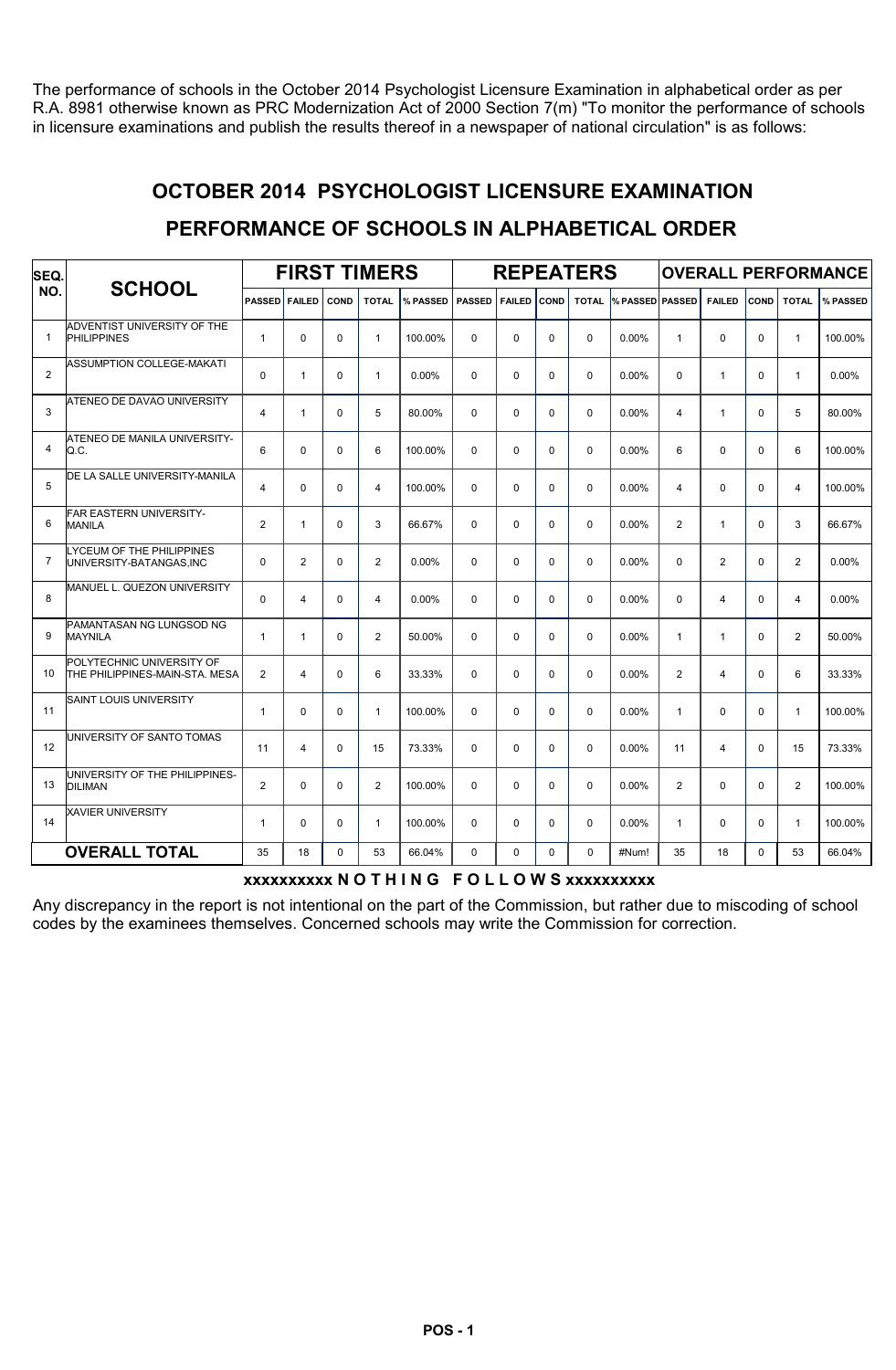The performance of schools in the October 2014 Psychologist Licensure Examination in alphabetical order as per R.A. 8981 otherwise known as PRC Modernization Act of 2000 Section 7(m) "To monitor the performance of schools in licensure examinations and publish the results thereof in a newspaper of national circulation" is as follows:

#### OCTOBER 2014 PSYCHOLOGIST LICENSURE EXAMINATION

#### PERFORMANCE OF SCHOOLS IN ALPHABETICAL ORDER

| SEQ.           |                                                             |                      |                |             | <b>FIRST TIMERS</b> |                   |             |               |             | <b>REPEATERS</b> |                              |                |                |          |                | <b>OVERALL PERFORMANCE</b> |
|----------------|-------------------------------------------------------------|----------------------|----------------|-------------|---------------------|-------------------|-------------|---------------|-------------|------------------|------------------------------|----------------|----------------|----------|----------------|----------------------------|
| NO.            | <b>SCHOOL</b>                                               | <b>PASSED FAILED</b> |                | <b>COND</b> | <b>TOTAL</b>        | % PASSED   PASSED |             | <b>FAILED</b> | COND        |                  | <b>TOTAL % PASSED PASSED</b> |                | <b>FAILED</b>  | COND     | <b>TOTAL</b>   | % PASSED                   |
| $\overline{1}$ | ADVENTIST UNIVERSITY OF THE<br><b>PHILIPPINES</b>           | $\mathbf{1}$         | $\mathbf 0$    | 0           | $\mathbf{1}$        | 100.00%           | $\Omega$    | 0             | $\mathbf 0$ | $\mathbf 0$      | 0.00%                        | $\mathbf{1}$   | 0              | $\Omega$ | $\mathbf{1}$   | 100.00%                    |
| $\overline{2}$ | <b>ASSUMPTION COLLEGE-MAKATI</b>                            | 0                    | $\mathbf{1}$   | $\Omega$    | $\mathbf{1}$        | 0.00%             | $\Omega$    | 0             | $\Omega$    | $\Omega$         | 0.00%                        | $\Omega$       | $\mathbf{1}$   | $\Omega$ | $\mathbf{1}$   | 0.00%                      |
| 3              | ATENEO DE DAVAO UNIVERSITY                                  | $\overline{4}$       | $\mathbf{1}$   | $\Omega$    | 5                   | 80.00%            | $\Omega$    | 0             | $\Omega$    | $\Omega$         | 0.00%                        | 4              | $\mathbf{1}$   | $\Omega$ | 5              | 80.00%                     |
| $\overline{4}$ | ATENEO DE MANILA UNIVERSITY-<br>Q.C.                        | 6                    | $\mathbf 0$    | 0           | 6                   | 100.00%           | $\mathbf 0$ | 0             | 0           | $\mathbf 0$      | 0.00%                        | 6              | 0              | $\Omega$ | 6              | 100.00%                    |
| 5              | DE LA SALLE UNIVERSITY-MANILA                               | $\overline{4}$       | $\Omega$       | $\Omega$    | 4                   | 100.00%           | $\Omega$    | 0             | $\Omega$    | $\Omega$         | 0.00%                        | 4              | $\Omega$       | $\Omega$ | $\overline{4}$ | 100.00%                    |
| 6              | FAR EASTERN UNIVERSITY-<br><b>MANILA</b>                    | $\overline{2}$       | $\mathbf{1}$   | $\mathbf 0$ | 3                   | 66.67%            | $\Omega$    | 0             | $\Omega$    | $\Omega$         | 0.00%                        | 2              | $\mathbf{1}$   | $\Omega$ | 3              | 66.67%                     |
| $\overline{7}$ | LYCEUM OF THE PHILIPPINES<br>UNIVERSITY-BATANGAS,INC        | $\Omega$             | 2              | $\Omega$    | $\overline{2}$      | $0.00\%$          | $\Omega$    | 0             | $\Omega$    | $\Omega$         | 0.00%                        | $\Omega$       | $\overline{2}$ | $\Omega$ | 2              | 0.00%                      |
| 8              | MANUEL L. QUEZON UNIVERSITY                                 | $\Omega$             | 4              | $\Omega$    | 4                   | $0.00\%$          | $\Omega$    | 0             | $\Omega$    | $\Omega$         | 0.00%                        | $\Omega$       | $\overline{4}$ | $\Omega$ | $\overline{4}$ | $0.00\%$                   |
| 9              | PAMANTASAN NG LUNGSOD NG<br><b>MAYNILA</b>                  | $\mathbf{1}$         | $\mathbf{1}$   | $\Omega$    | $\overline{2}$      | 50.00%            | $\Omega$    | 0             | $\Omega$    | $\Omega$         | 0.00%                        | $\mathbf{1}$   | $\mathbf{1}$   | $\Omega$ | $\mathbf{2}$   | 50.00%                     |
| 10             | POLYTECHNIC UNIVERSITY OF<br>THE PHILIPPINES-MAIN-STA, MESA | $\overline{2}$       | $\overline{4}$ | $\Omega$    | 6                   | 33.33%            | $\Omega$    | $\Omega$      | $\Omega$    | $\Omega$         | 0.00%                        | $\overline{2}$ | 4              | $\Omega$ | 6              | 33.33%                     |
| 11             | <b>SAINT LOUIS UNIVERSITY</b>                               | $\mathbf{1}$         | $\mathbf 0$    | 0           | $\mathbf{1}$        | 100.00%           | 0           | 0             | 0           | $\mathbf 0$      | 0.00%                        | $\mathbf{1}$   | 0              | $\Omega$ | $\mathbf{1}$   | 100.00%                    |
| 12             | UNIVERSITY OF SANTO TOMAS                                   | 11                   | 4              | $\Omega$    | 15                  | 73.33%            | $\Omega$    | 0             | $\Omega$    | $\Omega$         | 0.00%                        | 11             | $\overline{4}$ | $\Omega$ | 15             | 73.33%                     |
| 13             | UNIVERSITY OF THE PHILIPPINES-<br><b>DILIMAN</b>            | $\overline{2}$       | $\mathbf 0$    | $\mathbf 0$ | 2                   | 100.00%           | $\mathbf 0$ | 0             | $\mathbf 0$ | $\mathbf 0$      | 0.00%                        | 2              | 0              | $\Omega$ | $\overline{2}$ | 100.00%                    |
| 14             | <b>XAVIER UNIVERSITY</b>                                    | $\mathbf{1}$         | $\Omega$       | $\Omega$    | $\mathbf{1}$        | 100.00%           | $\Omega$    | 0             | $\Omega$    | $\Omega$         | 0.00%                        | $\mathbf{1}$   | $\Omega$       | $\Omega$ | $\mathbf{1}$   | 100.00%                    |
|                | <b>OVERALL TOTAL</b>                                        | 35                   | 18             | $\Omega$    | 53                  | 66.04%            | $\Omega$    | $\Omega$      | $\Omega$    | $\Omega$         | #Num!                        | 35             | 18             | $\Omega$ | 53             | 66.04%                     |

#### xxxxxxxxxx N O T H I N G F O L L O W S xxxxxxxxxx

Any discrepancy in the report is not intentional on the part of the Commission, but rather due to miscoding of school codes by the examinees themselves. Concerned schools may write the Commission for correction.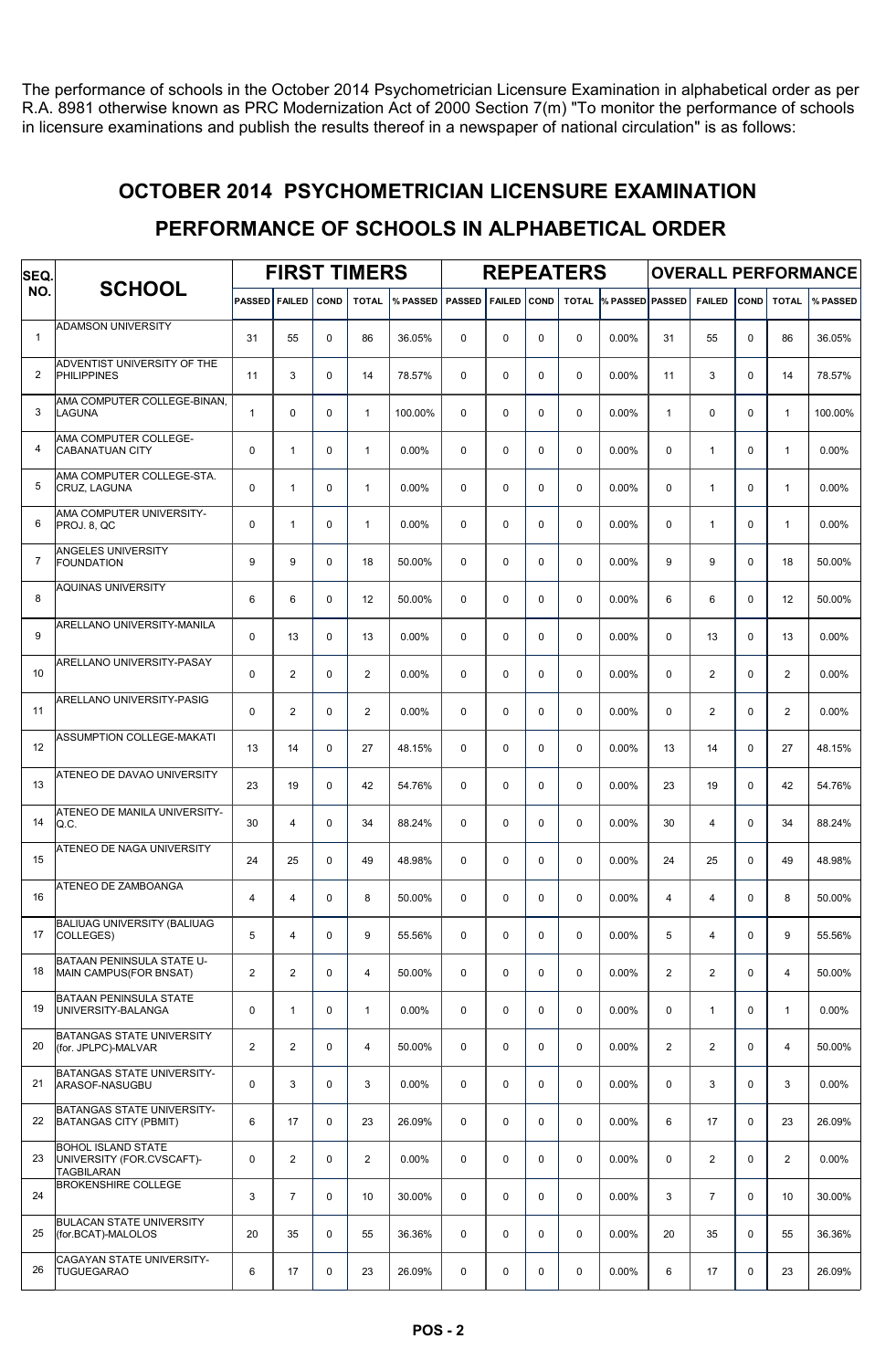The performance of schools in the October 2014 Psychometrician Licensure Examination in alphabetical order as per R.A. 8981 otherwise known as PRC Modernization Act of 2000 Section 7(m) "To monitor the performance of schools in licensure examinations and publish the results thereof in a newspaper of national circulation" is as follows:

#### OCTOBER 2014 PSYCHOMETRICIAN LICENSURE EXAMINATION

#### PERFORMANCE OF SCHOOLS IN ALPHABETICAL ORDER

| SEQ.         |                                                                      | <b>FIRST TIMERS</b><br><b>PASSED</b><br><b>FAILED</b><br><b>TOTAL</b><br>% PASSED<br><b>COND</b> |                       |   |                         |          |               |               |             | <b>REPEATERS</b> |                        | <b>OVERALL PERFORMANCE</b> |                |             |                |          |  |
|--------------|----------------------------------------------------------------------|--------------------------------------------------------------------------------------------------|-----------------------|---|-------------------------|----------|---------------|---------------|-------------|------------------|------------------------|----------------------------|----------------|-------------|----------------|----------|--|
| NO.          | <b>SCHOOL</b>                                                        |                                                                                                  |                       |   |                         |          | <b>PASSED</b> | <b>FAILED</b> | <b>COND</b> | <b>TOTAL</b>     | <b>% PASSED PASSED</b> |                            | <b>FAILED</b>  | <b>COND</b> | <b>TOTAL</b>   | % PASSED |  |
| $\mathbf{1}$ | <b>ADAMSON UNIVERSITY</b>                                            | 31                                                                                               | 55                    | 0 | 86                      | 36.05%   | $\Omega$      | $\Omega$      | $\mathbf 0$ | $\mathbf 0$      | 0.00%                  | 31                         | 55             | $\Omega$    | 86             | 36.05%   |  |
| 2            | ADVENTIST UNIVERSITY OF THE<br><b>PHILIPPINES</b>                    | 11                                                                                               | 3                     | 0 | 14                      | 78.57%   | $\mathbf 0$   | $\mathbf 0$   | $\mathbf 0$ | $\mathbf 0$      | $0.00\%$               | 11                         | 3              | $\Omega$    | 14             | 78.57%   |  |
| 3            | AMA COMPUTER COLLEGE-BINAN,<br>LAGUNA                                | $\mathbf{1}$                                                                                     | $\Omega$              | 0 | $\mathbf{1}$            | 100.00%  | $\Omega$      | $\mathbf 0$   | $\Omega$    | $\Omega$         | $0.00\%$               | $\mathbf{1}$               | $\mathbf 0$    | $\Omega$    | $\mathbf{1}$   | 100.00%  |  |
| 4            | AMA COMPUTER COLLEGE-<br><b>CABANATUAN CITY</b>                      | $\mathbf 0$                                                                                      | $\mathbf{1}$          | 0 | $\mathbf{1}$            | 0.00%    | $\Omega$      | $\mathbf 0$   | $\mathbf 0$ | $\Omega$         | $0.00\%$               | $\Omega$                   | $\mathbf{1}$   | $\Omega$    | $\mathbf{1}$   | 0.00%    |  |
| 5            | AMA COMPUTER COLLEGE-STA.<br>CRUZ, LAGUNA                            | $\mathbf 0$                                                                                      | 1                     | 0 | $\mathbf{1}$            | 0.00%    | $\Omega$      | $\Omega$      | $\mathbf 0$ | $\mathbf 0$      | 0.00%                  | 0                          | $\mathbf{1}$   | $\Omega$    | 1              | 0.00%    |  |
| 6            | AMA COMPUTER UNIVERSITY-<br>PROJ. 8, QC                              | $\mathbf 0$                                                                                      | $\mathbf{1}$          | 0 | $\mathbf{1}$            | 0.00%    | $\Omega$      | $\mathbf 0$   | $\mathbf 0$ | $\mathbf 0$      | $0.00\%$               | 0                          | $\mathbf{1}$   | $\Omega$    | $\mathbf{1}$   | 0.00%    |  |
| 7            | <b>ANGELES UNIVERSITY</b><br><b>FOUNDATION</b>                       | 9                                                                                                | 9                     | 0 | 18                      | 50.00%   | $\Omega$      | $\Omega$      | $\mathbf 0$ | $\Omega$         | $0.00\%$               | 9                          | 9              | $\Omega$    | 18             | 50.00%   |  |
| 8            | <b>AQUINAS UNIVERSITY</b>                                            | 6                                                                                                | 6                     | 0 | 12                      | 50.00%   | $\Omega$      | $\Omega$      | $\mathbf 0$ | $\Omega$         | $0.00\%$               | 6                          | 6              | $\Omega$    | 12             | 50.00%   |  |
| 9            | ARELLANO UNIVERSITY-MANILA                                           | $\mathbf 0$                                                                                      | 13                    | 0 | 13                      | 0.00%    | $\Omega$      | $\Omega$      | $\mathbf 0$ | $\Omega$         | 0.00%                  | $\Omega$                   | 13             | $\Omega$    | 13             | 0.00%    |  |
| 10           | ARELLANO UNIVERSITY-PASAY                                            | $\mathbf 0$                                                                                      | $\overline{c}$        | 0 | $\overline{2}$          | 0.00%    | $\mathbf 0$   | $\mathbf 0$   | $\mathbf 0$ | $\mathbf 0$      | 0.00%                  | 0                          | $\mathbf{2}$   | 0           | $\overline{2}$ | 0.00%    |  |
| 11           | ARELLANO UNIVERSITY-PASIG                                            | $\mathbf 0$                                                                                      | $\overline{2}$        | 0 | $\overline{2}$          | 0.00%    | $\Omega$      | $\mathbf 0$   | $\mathbf 0$ | $\Omega$         | 0.00%                  | $\Omega$                   | 2              | $\Omega$    | $\overline{2}$ | 0.00%    |  |
| 12           | <b>ASSUMPTION COLLEGE-MAKATI</b>                                     | 13                                                                                               | 14                    | 0 | 27                      | 48.15%   | $\Omega$      | $\mathbf 0$   | $\mathbf 0$ | $\Omega$         | $0.00\%$               | 13                         | 14             | $\Omega$    | 27             | 48.15%   |  |
| 13           | ATENEO DE DAVAO UNIVERSITY                                           | 23                                                                                               | 19                    | 0 | 42                      | 54.76%   | $\Omega$      | $\Omega$      | $\mathbf 0$ | $\mathbf 0$      | 0.00%                  | 23                         | 19             | $\Omega$    | 42             | 54.76%   |  |
| 14           | ATENEO DE MANILA UNIVERSITY-<br>Q.C.                                 | 30                                                                                               | 4                     | 0 | 34                      | 88.24%   | $\Omega$      | $\mathbf 0$   | $\mathbf 0$ | $\mathbf 0$      | $0.00\%$               | 30                         | 4              | $\Omega$    | 34             | 88.24%   |  |
| 15           | ATENEO DE NAGA UNIVERSITY                                            | 24                                                                                               | 25                    | 0 | 49                      | 48.98%   | $\Omega$      | $\Omega$      | $\mathbf 0$ | $\Omega$         | 0.00%                  | 24                         | 25             | $\Omega$    | 49             | 48.98%   |  |
| 16           | ATENEO DE ZAMBOANGA                                                  | 4                                                                                                | 4                     | 0 | 8                       | 50.00%   | $\Omega$      | $\Omega$      | $\mathbf 0$ | $\Omega$         | 0.00%                  | $\overline{4}$             | 4              | $\Omega$    | 8              | 50.00%   |  |
| 17           | <b>BALIUAG UNIVERSITY (BALIUAG</b><br>COLLEGES)                      | 5                                                                                                | 4                     | 0 | 9                       | 55.56%   | $\mathbf 0$   | $\mathbf 0$   | $\mathbf 0$ | $\mathbf 0$      | 0.00%                  | 5                          | $\overline{4}$ | $\mathbf 0$ | 9              | 55.56%   |  |
| 18           | BATAAN PENINSULA STATE U-<br>MAIN CAMPUS(FOR BNSAT)                  | $\overline{2}$                                                                                   | $\overline{2}$        | 0 | $\overline{\mathbf{4}}$ | 50.00%   | $\mathbf 0$   | $\mathbf 0$   | 0           | $\mathbf 0$      | $0.00\%$               | $\overline{\mathbf{c}}$    | $\overline{2}$ | 0           | 4              | 50.00%   |  |
| 19           | BATAAN PENINSULA STATE<br>UNIVERSITY-BALANGA                         | $\mathbf 0$                                                                                      | $\mathbf{1}$          | 0 | $\mathbf{1}$            | 0.00%    | $\mathbf 0$   | $\mathbf 0$   | $\mathbf 0$ | $\mathbf 0$      | $0.00\%$               | 0                          | $\mathbf{1}$   | $\mathbf 0$ | $\mathbf{1}$   | 0.00%    |  |
| 20           | <b>BATANGAS STATE UNIVERSITY</b><br>(for. JPLPC)-MALVAR              | $\overline{2}$                                                                                   | $\overline{2}$        | 0 | $\overline{4}$          | 50.00%   | $\mathbf 0$   | $\mathbf 0$   | $\mathbf 0$ | $\mathbf 0$      | $0.00\%$               | $\overline{2}$             | $\overline{2}$ | 0           | 4              | 50.00%   |  |
| 21           | <b>BATANGAS STATE UNIVERSITY-</b><br>ARASOF-NASUGBU                  | $\mathbf 0$                                                                                      | 3                     | 0 | 3                       | 0.00%    | $\mathbf 0$   | $\mathbf 0$   | $\mathbf 0$ | $\mathbf 0$      | $0.00\%$               | 0                          | 3              | 0           | 3              | $0.00\%$ |  |
| 22           | BATANGAS STATE UNIVERSITY-<br><b>BATANGAS CITY (PBMIT)</b>           | 6                                                                                                | 17                    | 0 | 23                      | 26.09%   | 0             | $\mathbf 0$   | 0           | $\mathbf 0$      | $0.00\%$               | 6                          | 17             | 0           | 23             | 26.09%   |  |
| 23           | <b>BOHOL ISLAND STATE</b><br>UNIVERSITY (FOR.CVSCAFT)-<br>TAGBILARAN | $\mathbf 0$                                                                                      | $\mathbf{2}^{\prime}$ | 0 | $\overline{2}$          | $0.00\%$ | $\mathbf 0$   | $\mathbf 0$   | $\mathbf 0$ | $\mathbf 0$      | $0.00\%$               | 0                          | $\overline{2}$ | 0           | $\overline{2}$ | $0.00\%$ |  |
| 24           | <b>BROKENSHIRE COLLEGE</b>                                           | 3                                                                                                | $\overline{7}$        | 0 | 10                      | 30.00%   | $\mathbf 0$   | $\mathbf 0$   | $\pmb{0}$   | $\mathbf 0$      | $0.00\%$               | 3                          | $\overline{7}$ | $\mathbf 0$ | 10             | 30.00%   |  |
| 25           | <b>BULACAN STATE UNIVERSITY</b><br>(for.BCAT)-MALOLOS                | 20                                                                                               | 35                    | 0 | 55                      | 36.36%   | $\mathbf 0$   | $\mathbf 0$   | $\pmb{0}$   | $\mathbf 0$      | $0.00\%$               | 20                         | 35             | 0           | 55             | 36.36%   |  |
| 26           | CAGAYAN STATE UNIVERSITY-<br><b>TUGUEGARAO</b>                       | 6                                                                                                | 17                    | 0 | 23                      | 26.09%   | 0             | 0             | 0           | $\mathbf 0$      | $0.00\%$               | 6                          | 17             | 0           | 23             | 26.09%   |  |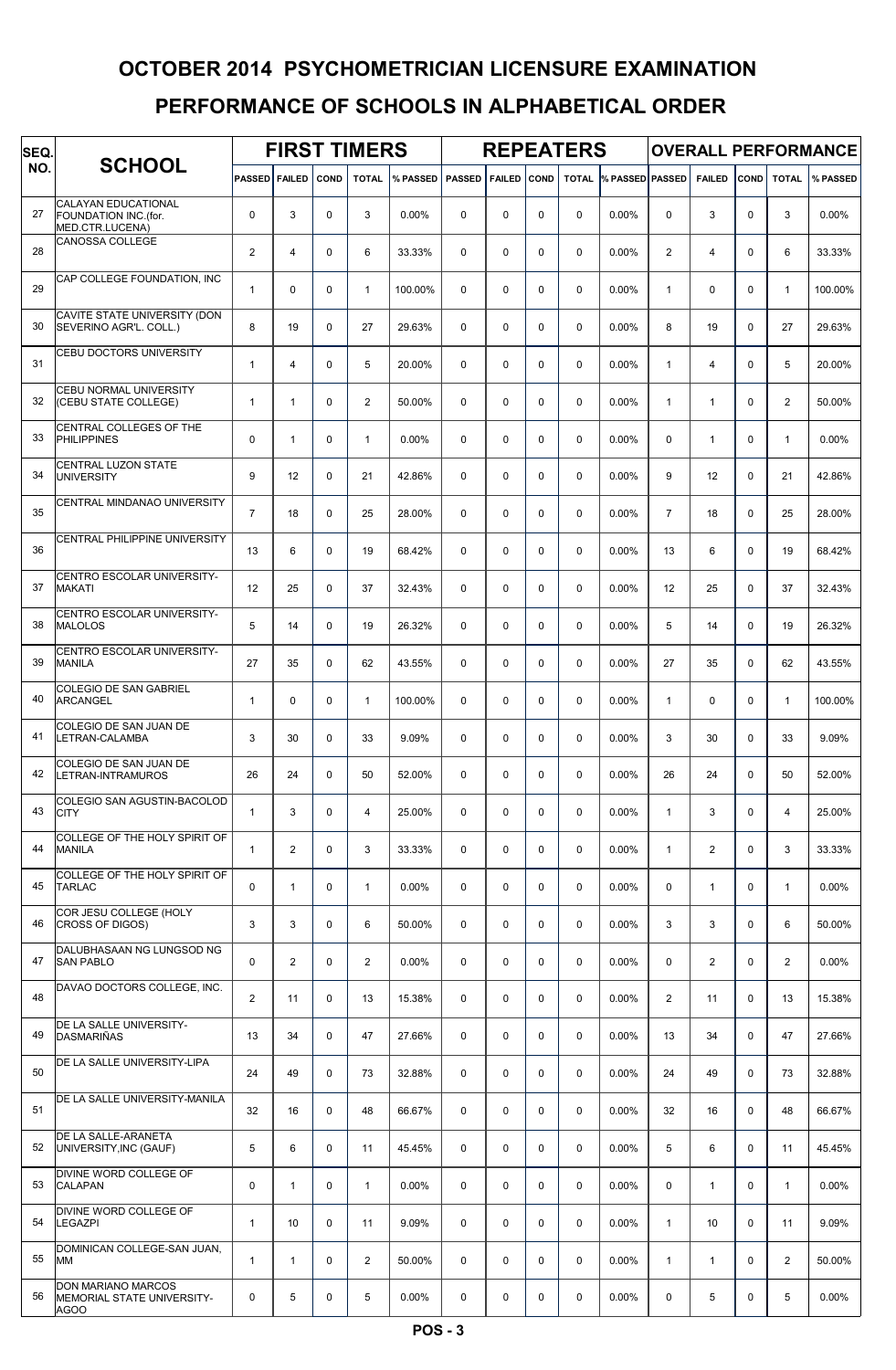| SEQ. |                                                                |                | <b>FIRST TIMERS</b><br><b>FAILED</b><br>COND |             |                |          |               |               |             | <b>REPEATERS</b> |                              |                |                |             |              | <b>OVERALL PERFORMANCE</b> |
|------|----------------------------------------------------------------|----------------|----------------------------------------------|-------------|----------------|----------|---------------|---------------|-------------|------------------|------------------------------|----------------|----------------|-------------|--------------|----------------------------|
| NO.  | <b>SCHOOL</b>                                                  | <b>PASSED</b>  |                                              |             | <b>TOTAL</b>   | % PASSED | <b>PASSED</b> | <b>FAILED</b> | <b>COND</b> |                  | <b>TOTAL % PASSED PASSED</b> |                | <b>FAILED</b>  | COND        | <b>TOTAL</b> | % PASSED                   |
| 27   | CALAYAN EDUCATIONAL<br>FOUNDATION INC.(for.<br>MED.CTR.LUCENA) | 0              | 3                                            | $\mathbf 0$ | 3              | 0.00%    | $\Omega$      | $\mathbf 0$   | $\mathbf 0$ | $\mathbf 0$      | 0.00%                        | 0              | 3              | $\Omega$    | 3            | 0.00%                      |
| 28   | <b>CANOSSA COLLEGE</b>                                         | $\overline{c}$ | $\overline{4}$                               | $\mathbf 0$ | 6              | 33.33%   | 0             | $\mathbf 0$   | $\mathbf 0$ | $\mathbf 0$      | 0.00%                        | $\overline{2}$ | $\overline{4}$ | $\mathbf 0$ | 6            | 33.33%                     |
| 29   | CAP COLLEGE FOUNDATION, INC                                    | $\mathbf{1}$   | 0                                            | $\mathbf 0$ | $\mathbf{1}$   | 100.00%  | $\Omega$      | $\mathbf 0$   | $\mathbf 0$ | $\mathbf 0$      | 0.00%                        | $\mathbf{1}$   | $\mathbf 0$    | $\Omega$    | $\mathbf{1}$ | 100.00%                    |
| 30   | CAVITE STATE UNIVERSITY (DON<br>SEVERINO AGR'L. COLL.)         | 8              | 19                                           | $\mathbf 0$ | 27             | 29.63%   | $\Omega$      | $\mathbf 0$   | $\mathbf 0$ | $\mathbf 0$      | 0.00%                        | 8              | 19             | $\Omega$    | 27           | 29.63%                     |
| 31   | <b>CEBU DOCTORS UNIVERSITY</b>                                 | $\mathbf{1}$   | $\overline{4}$                               | $\mathbf 0$ | 5              | 20.00%   | $\Omega$      | $\mathbf 0$   | $\mathbf 0$ | $\mathbf 0$      | 0.00%                        | 1              | $\overline{4}$ | $\Omega$    | 5            | 20.00%                     |
| 32   | <b>CEBU NORMAL UNIVERSITY</b><br>(CEBU STATE COLLEGE)          | $\mathbf{1}$   | $\mathbf{1}$                                 | $\mathbf 0$ | $\overline{a}$ | 50.00%   | $\Omega$      | $\mathbf 0$   | $\mathbf 0$ | $\mathbf 0$      | 0.00%                        | $\mathbf{1}$   | $\mathbf{1}$   | $\Omega$    | 2            | 50.00%                     |
| 33   | CENTRAL COLLEGES OF THE<br><b>PHILIPPINES</b>                  | $\Omega$       | $\mathbf{1}$                                 | $\Omega$    | $\mathbf{1}$   | 0.00%    | $\Omega$      | $\Omega$      | $\Omega$    | $\Omega$         | 0.00%                        | $\mathbf 0$    | $\mathbf{1}$   | $\Omega$    | $\mathbf{1}$ | 0.00%                      |
| 34   | CENTRAL LUZON STATE<br><b>UNIVERSITY</b>                       | 9              | 12                                           | $\Omega$    | 21             | 42.86%   | $\Omega$      | $\Omega$      | $\mathbf 0$ | $\Omega$         | 0.00%                        | 9              | 12             | $\Omega$    | 21           | 42.86%                     |
| 35   | CENTRAL MINDANAO UNIVERSITY                                    | $\overline{7}$ | 18                                           | $\Omega$    | 25             | 28.00%   | $\Omega$      | $\mathbf 0$   | $\mathbf 0$ | $\Omega$         | 0.00%                        | $\overline{7}$ | 18             | $\Omega$    | 25           | 28.00%                     |
| 36   | CENTRAL PHILIPPINE UNIVERSITY                                  | 13             | 6                                            | $\mathbf 0$ | 19             | 68.42%   | 0             | $\mathbf 0$   | $\mathbf 0$ | $\mathbf 0$      | 0.00%                        | 13             | 6              | $\mathbf 0$ | 19           | 68.42%                     |
| 37   | CENTRO ESCOLAR UNIVERSITY-<br><b>MAKATI</b>                    | 12             | 25                                           | $\mathbf 0$ | 37             | 32.43%   | 0             | $\mathbf 0$   | $\mathbf 0$ | $\mathbf 0$      | 0.00%                        | 12             | 25             | $\mathbf 0$ | 37           | 32.43%                     |
| 38   | CENTRO ESCOLAR UNIVERSITY-<br><b>MALOLOS</b>                   | 5              | 14                                           | $\mathbf 0$ | 19             | 26.32%   | $\Omega$      | $\mathbf 0$   | $\mathbf 0$ | $\mathbf 0$      | 0.00%                        | 5              | 14             | $\Omega$    | 19           | 26.32%                     |
| 39   | CENTRO ESCOLAR UNIVERSITY-<br><b>MANILA</b>                    | 27             | 35                                           | $\Omega$    | 62             | 43.55%   | $\Omega$      | $\mathbf 0$   | $\mathbf 0$ | $\mathbf 0$      | 0.00%                        | 27             | 35             | $\Omega$    | 62           | 43.55%                     |
| 40   | <b>COLEGIO DE SAN GABRIEL</b><br><b>ARCANGEL</b>               | $\mathbf{1}$   | $\mathbf 0$                                  | $\mathbf 0$ | $\mathbf{1}$   | 100.00%  | $\Omega$      | $\mathbf 0$   | $\mathbf 0$ | $\mathbf 0$      | 0.00%                        | $\mathbf{1}$   | $\mathbf 0$    | $\Omega$    | $\mathbf{1}$ | 100.00%                    |
| 41   | COLEGIO DE SAN JUAN DE<br>LETRAN-CALAMBA                       | 3              | 30                                           | $\Omega$    | 33             | 9.09%    | $\Omega$      | $\Omega$      | $\Omega$    | $\Omega$         | 0.00%                        | 3              | 30             | $\Omega$    | 33           | 9.09%                      |
| 42   | COLEGIO DE SAN JUAN DE<br>LETRAN-INTRAMUROS                    | 26             | 24                                           | $\mathbf 0$ | 50             | 52.00%   | $\Omega$      | $\mathbf 0$   | $\mathbf 0$ | $\Omega$         | 0.00%                        | 26             | 24             | $\Omega$    | 50           | 52.00%                     |
| 43   | COLEGIO SAN AGUSTIN-BACOLOD<br><b>CITY</b>                     | 1              | 3                                            | $\mathbf 0$ | $\overline{4}$ | 25.00%   | 0             | $\mathbf 0$   | $\mathbf 0$ | $\mathbf 0$      | 0.00%                        | $\mathbf{1}$   | 3              | $\mathbf 0$ | 4            | 25.00%                     |
| 44   | COLLEGE OF THE HOLY SPIRIT OF<br><b>MANILA</b>                 | 1              | 2                                            | 0           | 3              | 33.33%   | 0             | 0             | $\mathsf 0$ | 0                | 0.00%                        | 1              | $\mathbf{2}$   | 0           | 3            | 33.33%                     |
| 45   | COLLEGE OF THE HOLY SPIRIT OF<br><b>TARLAC</b>                 | 0              | $\mathbf{1}$                                 | $\mathbf 0$ | $\mathbf{1}$   | 0.00%    | 0             | $\mathbf 0$   | $\mathbf 0$ | 0                | 0.00%                        | 0              | $\mathbf{1}$   | 0           | $\mathbf{1}$ | 0.00%                      |
| 46   | COR JESU COLLEGE (HOLY<br><b>CROSS OF DIGOS)</b>               | 3              | 3                                            | $\mathbf 0$ | 6              | 50.00%   | 0             | $\mathbf 0$   | $\mathbf 0$ | $\mathbf 0$      | 0.00%                        | 3              | 3              | $\Omega$    | 6            | 50.00%                     |
| 47   | DALUBHASAAN NG LUNGSOD NG<br><b>SAN PABLO</b>                  | 0              | $\mathbf{2}$                                 | $\mathbf 0$ | $\overline{a}$ | 0.00%    | 0             | $\mathbf 0$   | $\mathbf 0$ | $\mathbf 0$      | 0.00%                        | 0              | $\mathbf{2}$   | $\mathbf 0$ | $\mathbf{2}$ | 0.00%                      |
| 48   | DAVAO DOCTORS COLLEGE, INC.                                    | $\overline{2}$ | 11                                           | $\mathbf 0$ | 13             | 15.38%   | $\mathbf 0$   | 0             | $\mathsf 0$ | $\mathbf 0$      | 0.00%                        | 2              | 11             | $\mathbf 0$ | 13           | 15.38%                     |
| 49   | DE LA SALLE UNIVERSITY-<br><b>DASMARIÑAS</b>                   | 13             | 34                                           | $\mathbf 0$ | 47             | 27.66%   | $\mathbf 0$   | 0             | $\mathbf 0$ | 0                | 0.00%                        | 13             | 34             | $\mathbf 0$ | 47           | 27.66%                     |
| 50   | DE LA SALLE UNIVERSITY-LIPA                                    | 24             | 49                                           | $\mathbf 0$ | 73             | 32.88%   | $\mathbf 0$   | 0             | 0           | $\mathbf 0$      | 0.00%                        | 24             | 49             | 0           | 73           | 32.88%                     |
| 51   | DE LA SALLE UNIVERSITY-MANILA                                  | 32             | 16                                           | $\mathbf 0$ | 48             | 66.67%   | 0             | $\mathbf 0$   | $\mathsf 0$ | $\mathbf 0$      | 0.00%                        | 32             | 16             | $\mathbf 0$ | 48           | 66.67%                     |
| 52   | DE LA SALLE-ARANETA<br>UNIVERSITY, INC (GAUF)                  | 5              | 6                                            | 0           | 11             | 45.45%   | $\mathbf 0$   | $\mathbf 0$   | 0           | $\mathbf 0$      | 0.00%                        | 5              | 6              | $\mathbf 0$ | 11           | 45.45%                     |
| 53   | DIVINE WORD COLLEGE OF<br><b>CALAPAN</b>                       | 0              | $\mathbf{1}$                                 | $\mathbf 0$ | $\mathbf{1}$   | 0.00%    | $\mathbf 0$   | $\mathbf 0$   | $\mathbf 0$ | $\mathbf 0$      | 0.00%                        | 0              | $\mathbf{1}$   | 0           | 1            | 0.00%                      |
| 54   | DIVINE WORD COLLEGE OF<br><b>LEGAZPI</b>                       | $\mathbf{1}$   | 10                                           | $\mathbf 0$ | 11             | 9.09%    | $\Omega$      | $\mathbf 0$   | $\mathbf 0$ | $\mathbf 0$      | 0.00%                        | $\mathbf{1}$   | 10             | $\Omega$    | 11           | 9.09%                      |
| 55   | DOMINICAN COLLEGE-SAN JUAN,<br>MM                              | 1              | $\mathbf{1}$                                 | $\mathbf 0$ | 2              | 50.00%   | 0             | $\mathbf 0$   | $\mathbf 0$ | $\mathbf 0$      | 0.00%                        | $\mathbf{1}$   | $\mathbf{1}$   | $\mathbf 0$ | 2            | 50.00%                     |
| 56   | DON MARIANO MARCOS<br>MEMORIAL STATE UNIVERSITY-<br>AGOO       | 0              | 5                                            | 0           | 5              | 0.00%    | 0             | 0             | 0           | 0                | 0.00%                        | 0              | 5              | 0           | 5            | 0.00%                      |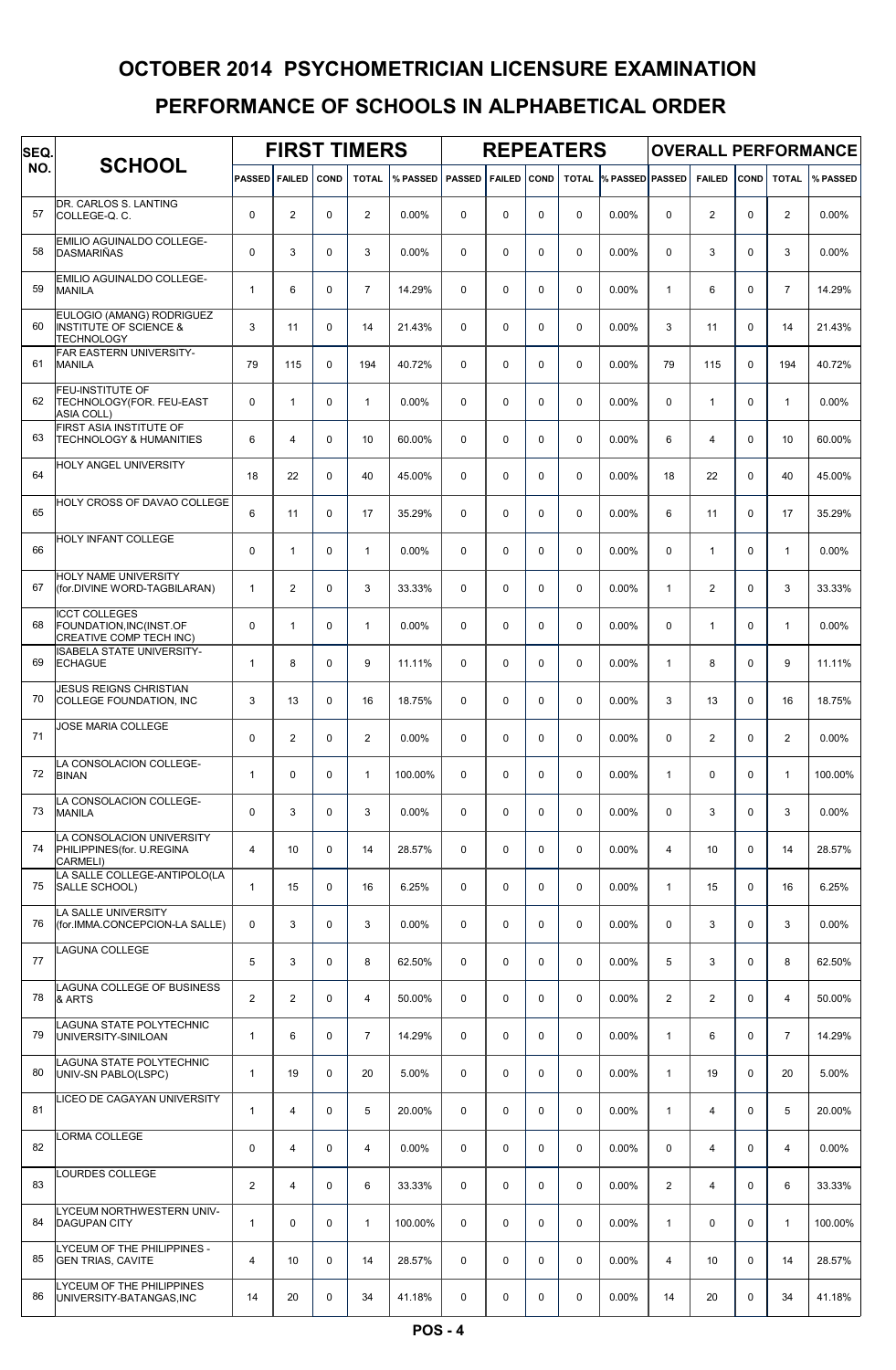| SEQ. |                                                                                     |                | <b>FIRST TIMERS</b><br><b>PASSED FAILED</b><br><b>COND</b> |             |                |          |               |               |             | <b>REPEATERS</b> |                              |                |                |             |                | <b>OVERALL PERFORMANCE</b> |
|------|-------------------------------------------------------------------------------------|----------------|------------------------------------------------------------|-------------|----------------|----------|---------------|---------------|-------------|------------------|------------------------------|----------------|----------------|-------------|----------------|----------------------------|
| NO.  | <b>SCHOOL</b>                                                                       |                |                                                            |             | <b>TOTAL</b>   | % PASSED | <b>PASSED</b> | <b>FAILED</b> | COND        |                  | <b>TOTAL % PASSED PASSED</b> |                | <b>FAILED</b>  | COND        | <b>TOTAL</b>   | % PASSED                   |
| 57   | DR. CARLOS S. LANTING<br>COLLEGE-Q.C.                                               | $\mathbf 0$    | $\mathbf{2}$                                               | 0           | 2              | 0.00%    | 0             | 0             | $\mathbf 0$ | $\mathbf 0$      | 0.00%                        | 0              | $\overline{2}$ | 0           | 2              | 0.00%                      |
| 58   | EMILIO AGUINALDO COLLEGE-<br><b>DASMARIÑAS</b>                                      | $\mathbf 0$    | 3                                                          | 0           | 3              | 0.00%    | 0             | 0             | $\mathbf 0$ | $\mathbf 0$      | 0.00%                        | $\mathbf 0$    | 3              | 0           | 3              | 0.00%                      |
| 59   | EMILIO AGUINALDO COLLEGE-<br><b>MANILA</b>                                          | $\mathbf{1}$   | 6                                                          | 0           | $\overline{7}$ | 14.29%   | 0             | 0             | $\mathbf 0$ | $\mathbf 0$      | 0.00%                        | $\mathbf{1}$   | 6              | $\mathbf 0$ | $\overline{7}$ | 14.29%                     |
| 60   | EULOGIO (AMANG) RODRIGUEZ<br><b>INSTITUTE OF SCIENCE &amp;</b><br><b>TECHNOLOGY</b> | 3              | 11                                                         | 0           | 14             | 21.43%   | 0             | 0             | $\mathbf 0$ | $\mathbf 0$      | 0.00%                        | 3              | 11             | $\mathbf 0$ | 14             | 21.43%                     |
| 61   | FAR EASTERN UNIVERSITY-<br><b>MANILA</b>                                            | 79             | 115                                                        | 0           | 194            | 40.72%   | 0             | 0             | $\mathbf 0$ | $\mathbf 0$      | 0.00%                        | 79             | 115            | $\Omega$    | 194            | 40.72%                     |
| 62   | FEU-INSTITUTE OF<br>TECHNOLOGY(FOR. FEU-EAST<br>ASIA COLL)                          | 0              | $\mathbf{1}$                                               | 0           | $\mathbf{1}$   | 0.00%    | 0             | 0             | $\mathbf 0$ | $\mathbf 0$      | 0.00%                        | $\mathbf 0$    | $\mathbf{1}$   | $\Omega$    | $\mathbf{1}$   | 0.00%                      |
| 63   | FIRST ASIA INSTITUTE OF<br><b>TECHNOLOGY &amp; HUMANITIES</b>                       | 6              | $\overline{4}$                                             | 0           | 10             | 60.00%   | $\Omega$      | 0             | $\mathbf 0$ | 0                | 0.00%                        | 6              | $\overline{4}$ | $\Omega$    | 10             | 60.00%                     |
| 64   | HOLY ANGEL UNIVERSITY                                                               | 18             | 22                                                         | 0           | 40             | 45.00%   | 0             | 0             | $\mathbf 0$ | $\mathbf 0$      | 0.00%                        | 18             | 22             | $\Omega$    | 40             | 45.00%                     |
| 65   | HOLY CROSS OF DAVAO COLLEGE                                                         | 6              | 11                                                         | 0           | 17             | 35.29%   | 0             | 0             | $\mathbf 0$ | $\mathbf 0$      | 0.00%                        | 6              | 11             | $\Omega$    | 17             | 35.29%                     |
| 66   | HOLY INFANT COLLEGE                                                                 | $\mathbf 0$    | $\mathbf{1}$                                               | 0           | $\mathbf{1}$   | 0.00%    | 0             | 0             | $\mathbf 0$ | $\mathbf 0$      | 0.00%                        | $\mathbf 0$    | $\mathbf{1}$   | 0           | $\mathbf{1}$   | 0.00%                      |
| 67   | HOLY NAME UNIVERSITY<br>(for.DIVINE WORD-TAGBILARAN)                                | $\mathbf{1}$   | $\overline{2}$                                             | 0           | 3              | 33.33%   | 0             | 0             | $\mathbf 0$ | $\mathbf 0$      | 0.00%                        | $\mathbf{1}$   | 2              | 0           | 3              | 33.33%                     |
| 68   | <b>ICCT COLLEGES</b><br>FOUNDATION, INC(INST.OF<br>CREATIVE COMP TECH INC)          | $\mathbf 0$    | $\mathbf{1}$                                               | 0           | $\mathbf{1}$   | 0.00%    | 0             | 0             | $\mathbf 0$ | $\mathbf 0$      | 0.00%                        | 0              | $\mathbf{1}$   | $\mathbf 0$ | $\mathbf{1}$   | 0.00%                      |
| 69   | <b>ISABELA STATE UNIVERSITY-</b><br><b>ECHAGUE</b>                                  | $\mathbf{1}$   | 8                                                          | 0           | 9              | 11.11%   | 0             | 0             | $\mathbf 0$ | $\mathbf 0$      | 0.00%                        | $\mathbf{1}$   | 8              | $\mathbf 0$ | 9              | 11.11%                     |
| 70   | JESUS REIGNS CHRISTIAN<br>COLLEGE FOUNDATION, INC                                   | 3              | 13                                                         | 0           | 16             | 18.75%   | 0             | 0             | $\mathbf 0$ | $\mathbf 0$      | 0.00%                        | 3              | 13             | $\Omega$    | 16             | 18.75%                     |
| 71   | JOSE MARIA COLLEGE                                                                  | $\mathbf 0$    | $\overline{2}$                                             | 0           | $\overline{2}$ | 0.00%    | 0             | 0             | $\mathbf 0$ | 0                | 0.00%                        | $\Omega$       | 2              | $\Omega$    | $\overline{2}$ | 0.00%                      |
| 72   | LA CONSOLACION COLLEGE-<br><b>BINAN</b>                                             | $\mathbf{1}$   | 0                                                          | 0           | $\mathbf{1}$   | 100.00%  | 0             | 0             | $\mathbf 0$ | $\mathbf 0$      | 0.00%                        | $\mathbf{1}$   | $\mathbf 0$    | 0           | 1              | 100.00%                    |
| 73   | LA CONSOLACION COLLEGE-<br><b>MANILA</b>                                            | $\mathbf 0$    | 3                                                          | 0           | 3              | 0.00%    | 0             | 0             | $\mathbf 0$ | 0                | 0.00%                        | 0              | 3              | 0           | 3              | 0.00%                      |
| 74   | LA CONSOLACION UNIVERSITY<br>PHILIPPINES(for. U.REGINA<br><b>CARMELI)</b>           | 4              | 10                                                         | 0           | 14             | 28.57%   | 0             | 0             | $\mathbf 0$ | 0                | 0.00%                        | $\overline{4}$ | 10             | 0           | 14             | 28.57%                     |
| 75   | LA SALLE COLLEGE-ANTIPOLO(LA<br>SALLE SCHOOL)                                       | $\mathbf{1}$   | 15                                                         | 0           | 16             | 6.25%    | 0             | 0             | $\mathbf 0$ | 0                | 0.00%                        | $\mathbf{1}$   | 15             | 0           | 16             | 6.25%                      |
| 76   | LA SALLE UNIVERSITY<br>(for.IMMA.CONCEPCION-LA SALLE)                               | 0              | 3                                                          | 0           | 3              | 0.00%    | 0             | 0             | $\mathbf 0$ | 0                | 0.00%                        | 0              | 3              | 0           | 3              | 0.00%                      |
| 77   | LAGUNA COLLEGE                                                                      | 5              | 3                                                          | $\mathbf 0$ | 8              | 62.50%   | 0             | 0             | $\mathbf 0$ | 0                | 0.00%                        | 5              | 3              | 0           | 8              | 62.50%                     |
| 78   | LAGUNA COLLEGE OF BUSINESS<br>& ARTS                                                | $\mathbf{2}$   | 2                                                          | $\mathbf 0$ | 4              | 50.00%   | 0             | 0             | $\mathbf 0$ | 0                | 0.00%                        | 2              | $\overline{2}$ | 0           | 4              | 50.00%                     |
| 79   | LAGUNA STATE POLYTECHNIC<br>UNIVERSITY-SINILOAN                                     | $\mathbf{1}$   | 6                                                          | $\mathbf 0$ | $\overline{7}$ | 14.29%   | 0             | 0             | $\mathbf 0$ | 0                | 0.00%                        | $\mathbf{1}$   | 6              | $\mathbf 0$ | $\overline{7}$ | 14.29%                     |
| 80   | LAGUNA STATE POLYTECHNIC<br>UNIV-SN PABLO(LSPC)                                     | $\mathbf{1}$   | 19                                                         | 0           | 20             | 5.00%    | 0             | 0             | $\mathbf 0$ | 0                | 0.00%                        | $\mathbf{1}$   | 19             | $\mathbf 0$ | 20             | 5.00%                      |
| 81   | LICEO DE CAGAYAN UNIVERSITY                                                         | 1              | 4                                                          | $\mathbf 0$ | 5              | 20.00%   | 0             | 0             | 0           | 0                | 0.00%                        | $\mathbf{1}$   | 4              | 0           | 5              | 20.00%                     |
| 82   | LORMA COLLEGE                                                                       | $\pmb{0}$      | 4                                                          | 0           | $\overline{4}$ | 0.00%    | 0             | 0             | $\mathbf 0$ | 0                | 0.00%                        | $\mathbf 0$    | 4              | 0           | 4              | 0.00%                      |
| 83   | LOURDES COLLEGE                                                                     | $\overline{2}$ | 4                                                          | $\mathbf 0$ | 6              | 33.33%   | 0             | 0             | $\mathbf 0$ | 0                | 0.00%                        | 2              | $\overline{4}$ | 0           | 6              | 33.33%                     |
| 84   | LYCEUM NORTHWESTERN UNIV-<br><b>DAGUPAN CITY</b>                                    | $\mathbf{1}$   | 0                                                          | 0           | $\mathbf{1}$   | 100.00%  | 0             | 0             | $\mathbf 0$ | 0                | 0.00%                        | $\mathbf{1}$   | $\mathbf 0$    | 0           | $\mathbf{1}$   | 100.00%                    |
| 85   | LYCEUM OF THE PHILIPPINES -<br><b>GEN TRIAS, CAVITE</b>                             | 4              | 10                                                         | 0           | 14             | 28.57%   | 0             | 0             | $\mathbf 0$ | 0                | 0.00%                        | $\overline{4}$ | 10             | $\mathbf 0$ | 14             | 28.57%                     |
| 86   | LYCEUM OF THE PHILIPPINES<br>UNIVERSITY-BATANGAS, INC                               | 14             | 20                                                         | 0           | 34             | 41.18%   | 0             | 0             | 0           | 0                | 0.00%                        | 14             | 20             | 0           | 34             | 41.18%                     |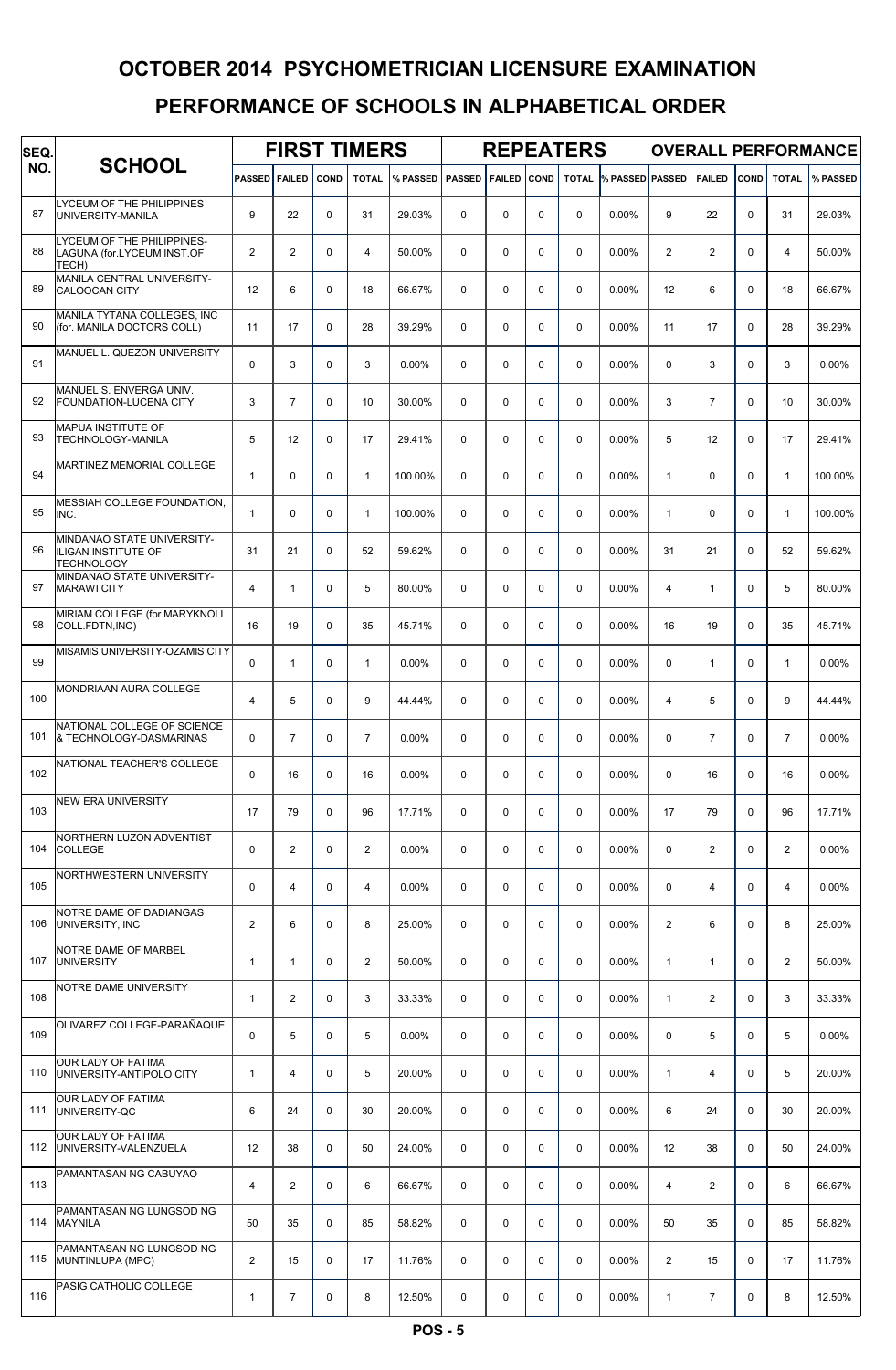| SEQ. |                                                                               |                |                |             | <b>FIRST TIMERS</b> |          |               |               |             | <b>REPEATERS</b> |                 |                |                |             |                | <b>OVERALL PERFORMANCE</b> |
|------|-------------------------------------------------------------------------------|----------------|----------------|-------------|---------------------|----------|---------------|---------------|-------------|------------------|-----------------|----------------|----------------|-------------|----------------|----------------------------|
| NO.  | <b>SCHOOL</b>                                                                 | <b>PASSED</b>  | <b>FAILED</b>  | COND        | <b>TOTAL</b>        | % PASSED | <b>PASSED</b> | <b>FAILED</b> | <b>COND</b> | <b>TOTAL</b>     | % PASSED PASSED |                | <b>FAILED</b>  | COND        | <b>TOTAL</b>   | % PASSED                   |
| 87   | LYCEUM OF THE PHILIPPINES<br>UNIVERSITY-MANILA                                | 9              | 22             | $\mathbf 0$ | 31                  | 29.03%   | $\Omega$      | 0             | 0           | $\Omega$         | 0.00%           | 9              | 22             | $\Omega$    | 31             | 29.03%                     |
| 88   | LYCEUM OF THE PHILIPPINES-<br>LAGUNA (for.LYCEUM INST.OF<br>TECH)             | $\overline{2}$ | $\overline{2}$ | $\mathbf 0$ | $\overline{4}$      | 50.00%   | $\Omega$      | 0             | 0           | $\mathbf 0$      | 0.00%           | $\overline{2}$ | $\overline{2}$ | $\Omega$    | $\overline{4}$ | 50.00%                     |
| 89   | MANILA CENTRAL UNIVERSITY-<br><b>CALOOCAN CITY</b>                            | 12             | 6              | $\mathbf 0$ | 18                  | 66.67%   | $\Omega$      | $\Omega$      | $\Omega$    | $\Omega$         | 0.00%           | 12             | 6              | $\Omega$    | 18             | 66.67%                     |
| 90   | MANILA TYTANA COLLEGES, INC<br>(for. MANILA DOCTORS COLL)                     | 11             | 17             | $\mathbf 0$ | 28                  | 39.29%   | $\Omega$      | 0             | 0           | $\Omega$         | 0.00%           | 11             | 17             | $\Omega$    | 28             | 39.29%                     |
| 91   | MANUEL L. QUEZON UNIVERSITY                                                   | $\mathbf 0$    | 3              | $\mathbf 0$ | 3                   | 0.00%    | $\Omega$      | 0             | 0           | $\Omega$         | 0.00%           | $\Omega$       | 3              | $\Omega$    | 3              | 0.00%                      |
| 92   | MANUEL S. ENVERGA UNIV.<br><b>FOUNDATION-LUCENA CITY</b>                      | 3              | $\overline{7}$ | $\mathbf 0$ | 10                  | 30.00%   | $\Omega$      | 0             | 0           | $\mathbf 0$      | 0.00%           | 3              | $\overline{7}$ | $\Omega$    | 10             | 30.00%                     |
| 93   | MAPUA INSTITUTE OF<br><b>TECHNOLOGY-MANILA</b>                                | 5              | 12             | $\mathbf 0$ | 17                  | 29.41%   | $\Omega$      | $\Omega$      | 0           | $\Omega$         | 0.00%           | 5              | 12             | $\Omega$    | 17             | 29.41%                     |
| 94   | <b>MARTINEZ MEMORIAL COLLEGE</b>                                              | $\mathbf{1}$   | 0              | $\Omega$    | $\mathbf{1}$        | 100.00%  | $\Omega$      | $\Omega$      | 0           | $\Omega$         | 0.00%           | $\mathbf{1}$   | $\Omega$       | $\Omega$    | $\mathbf{1}$   | 100.00%                    |
| 95   | MESSIAH COLLEGE FOUNDATION.<br>INC.                                           | $\mathbf{1}$   | 0              | $\mathbf 0$ | $\mathbf{1}$        | 100.00%  | $\Omega$      | 0             | $\Omega$    | $\Omega$         | 0.00%           | $\mathbf{1}$   | $\Omega$       | $\Omega$    | $\mathbf{1}$   | 100.00%                    |
| 96   | MINDANAO STATE UNIVERSITY-<br><b>ILIGAN INSTITUTE OF</b><br><b>TECHNOLOGY</b> | 31             | 21             | $\mathbf 0$ | 52                  | 59.62%   | $\Omega$      | 0             | 0           | $\mathbf 0$      | 0.00%           | 31             | 21             | $\mathbf 0$ | 52             | 59.62%                     |
| 97   | MINDANAO STATE UNIVERSITY-<br><b>MARAWI CITY</b>                              | $\overline{4}$ | $\mathbf{1}$   | $\mathbf 0$ | 5                   | 80.00%   | $\Omega$      | 0             | 0           | $\Omega$         | 0.00%           | $\overline{4}$ | $\mathbf{1}$   | $\Omega$    | 5              | 80.00%                     |
| 98   | MIRIAM COLLEGE (for.MARYKNOLL<br>COLL.FDTN, INC)                              | 16             | 19             | $\mathbf 0$ | 35                  | 45.71%   | $\Omega$      | 0             | 0           | $\Omega$         | 0.00%           | 16             | 19             | $\Omega$    | 35             | 45.71%                     |
| 99   | MISAMIS UNIVERSITY-OZAMIS CITY                                                | $\mathbf 0$    | $\mathbf{1}$   | $\mathbf 0$ | $\overline{1}$      | 0.00%    | $\Omega$      | 0             | 0           | $\Omega$         | 0.00%           | $\Omega$       | $\mathbf{1}$   | $\Omega$    | $\mathbf{1}$   | 0.00%                      |
| 100  | <b>MONDRIAAN AURA COLLEGE</b>                                                 | 4              | 5              | $\mathbf 0$ | 9                   | 44.44%   | $\Omega$      | 0             | 0           | $\mathbf 0$      | 0.00%           | $\overline{4}$ | 5              | $\Omega$    | 9              | 44.44%                     |
| 101  | NATIONAL COLLEGE OF SCIENCE<br>& TECHNOLOGY-DASMARINAS                        | $\mathbf 0$    | $\overline{7}$ | $\mathbf 0$ | $\overline{7}$      | 0.00%    | $\Omega$      | $\Omega$      | $\Omega$    | $\Omega$         | 0.00%           | $\Omega$       | $\overline{7}$ | $\Omega$    | $\overline{7}$ | 0.00%                      |
| 102  | NATIONAL TEACHER'S COLLEGE                                                    | $\Omega$       | 16             | $\mathbf 0$ | 16                  | 0.00%    | $\Omega$      | 0             | $\Omega$    | $\Omega$         | 0.00%           | $\Omega$       | 16             | $\Omega$    | 16             | 0.00%                      |
| 103  | <b>NEW ERA UNIVERSITY</b>                                                     | 17             | 79             | $\mathbf 0$ | 96                  | 17.71%   | $\mathbf 0$   | 0             | 0           | 0                | 0.00%           | 17             | 79             | $\mathbf 0$ | 96             | 17.71%                     |
| 104  | NORTHERN LUZON ADVENTIST<br><b>COLLEGE</b>                                    | $\mathbf 0$    | $\overline{2}$ | 0           | $\overline{2}$      | $0.00\%$ | $\mathbf 0$   | 0             | 0           | 0                | 0.00%           | $\mathsf 0$    | $\overline{2}$ | $\mathbf 0$ | $\overline{a}$ | 0.00%                      |
| 105  | NORTHWESTERN UNIVERSITY                                                       | $\pmb{0}$      | 4              | 0           | 4                   | $0.00\%$ | $\mathbf 0$   | 0             | 0           | $\mathbf 0$      | 0.00%           | $\mathbf 0$    | 4              | $\mathbf 0$ | 4              | 0.00%                      |
| 106  | NOTRE DAME OF DADIANGAS<br>UNIVERSITY, INC                                    | $\overline{c}$ | 6              | $\mathbf 0$ | 8                   | 25.00%   | $\mathbf 0$   | 0             | 0           | $\mathbf 0$      | 0.00%           | $\mathbf{2}$   | 6              | $\Omega$    | 8              | 25.00%                     |
| 107  | NOTRE DAME OF MARBEL<br><b>UNIVERSITY</b>                                     | $\mathbf{1}$   | 1              | $\mathbf 0$ | $\overline{2}$      | 50.00%   | $\mathbf 0$   | 0             | 0           | $\mathbf 0$      | 0.00%           | $\mathbf{1}$   | $\mathbf{1}$   | $\mathbf 0$ | 2              | 50.00%                     |
| 108  | NOTRE DAME UNIVERSITY                                                         | $\mathbf{1}$   | $\overline{2}$ | 0           | 3                   | 33.33%   | $\mathbf 0$   | 0             | 0           | $\mathbf 0$      | 0.00%           | $\mathbf{1}$   | $\overline{2}$ | $\mathbf 0$ | 3              | 33.33%                     |
| 109  | OLIVAREZ COLLEGE-PARAÑAQUE                                                    | $\pmb{0}$      | 5              | 0           | 5                   | 0.00%    | $\mathbf 0$   | 0             | 0           | $\mathbf 0$      | 0.00%           | $\mathbf 0$    | 5              | $\mathbf 0$ | 5              | 0.00%                      |
| 110  | OUR LADY OF FATIMA<br>UNIVERSITY-ANTIPOLO CITY                                | $\mathbf{1}$   | 4              | $\mathbf 0$ | 5                   | 20.00%   | $\mathbf 0$   | 0             | 0           | $\mathbf 0$      | 0.00%           | $\mathbf{1}$   | 4              | $\mathbf 0$ | 5              | 20.00%                     |
| 111  | OUR LADY OF FATIMA<br>UNIVERSITY-QC                                           | 6              | 24             | $\mathbf 0$ | 30                  | 20.00%   | $\mathbf 0$   | 0             | 0           | $\mathbf 0$      | 0.00%           | 6              | 24             | $\mathbf 0$ | 30             | 20.00%                     |
| 112  | OUR LADY OF FATIMA<br>UNIVERSITY-VALENZUELA                                   | 12             | 38             | 0           | 50                  | 24.00%   | $\mathbf 0$   | 0             | 0           | $\mathbf 0$      | 0.00%           | 12             | 38             | $\mathbf 0$ | 50             | 24.00%                     |
| 113  | PAMANTASAN NG CABUYAO                                                         | 4              | $\overline{2}$ | $\mathbf 0$ | 6                   | 66.67%   | $\mathbf 0$   | 0             | 0           | $\mathbf 0$      | 0.00%           | 4              | $\overline{2}$ | $\mathbf 0$ | 6              | 66.67%                     |
| 114  | PAMANTASAN NG LUNGSOD NG<br><b>MAYNILA</b>                                    | 50             | 35             | $\mathbf 0$ | 85                  | 58.82%   | $\mathbf 0$   | 0             | 0           | $\mathbf 0$      | 0.00%           | 50             | 35             | $\Omega$    | 85             | 58.82%                     |
| 115  | PAMANTASAN NG LUNGSOD NG<br>MUNTINLUPA (MPC)                                  | $\overline{2}$ | 15             | $\mathbf 0$ | 17                  | 11.76%   | $\mathbf 0$   | 0             | 0           | $\mathbf 0$      | 0.00%           | $\overline{2}$ | 15             | $\mathbf 0$ | 17             | 11.76%                     |
| 116  | PASIG CATHOLIC COLLEGE                                                        | $\mathbf{1}$   | $\overline{7}$ | 0           | 8                   | 12.50%   | 0             | 0             | 0           | 0                | 0.00%           | $\mathbf{1}$   | $\overline{7}$ | 0           | 8              | 12.50%                     |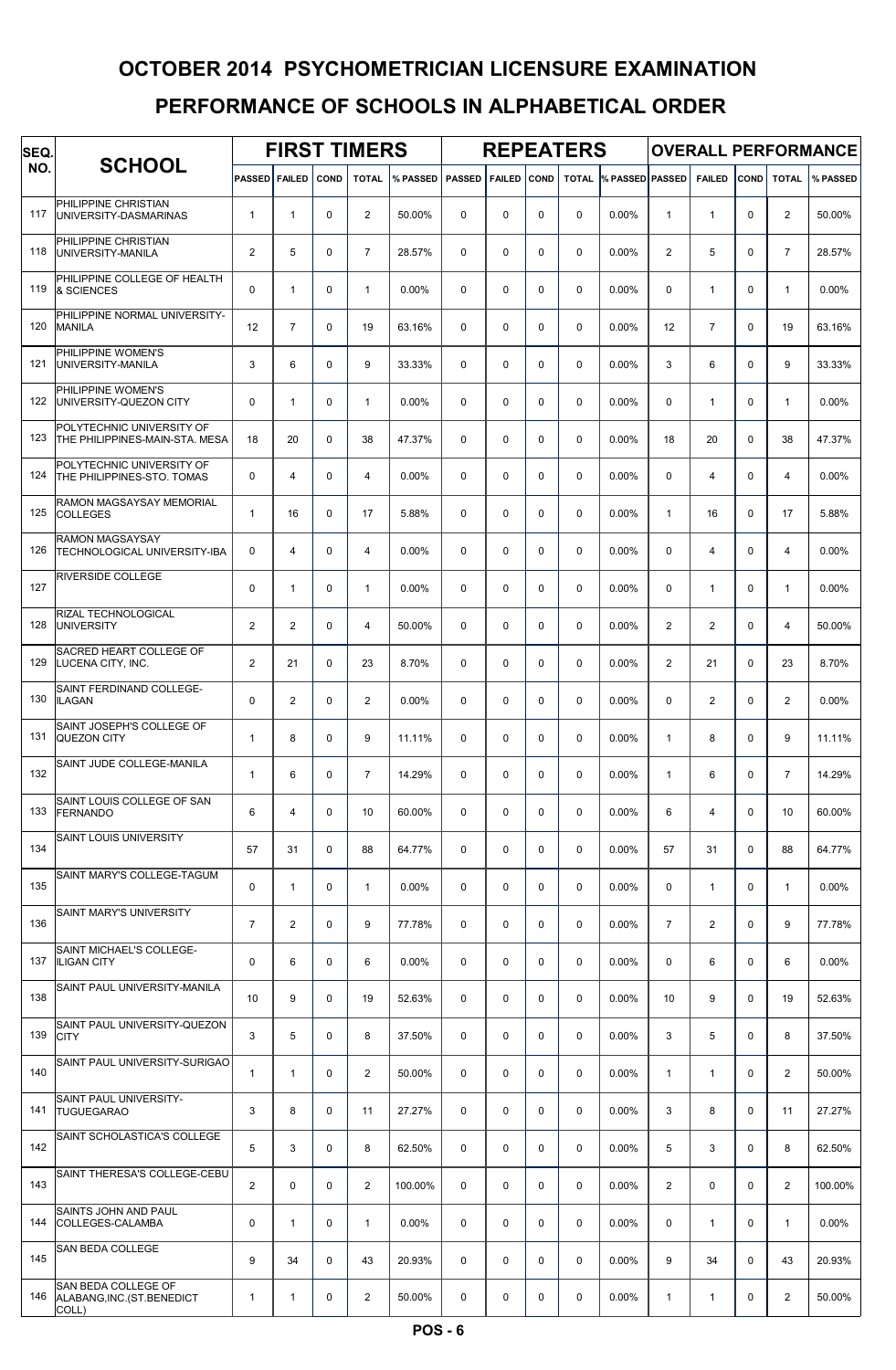| SEQ. |                                                             |                | <b>FIRST TIMERS</b><br><b>FAILED</b><br>COND |          |                |          |               |               |             | <b>REPEATERS</b> |                              |                |                |             |                | <b>OVERALL PERFORMANCE</b> |
|------|-------------------------------------------------------------|----------------|----------------------------------------------|----------|----------------|----------|---------------|---------------|-------------|------------------|------------------------------|----------------|----------------|-------------|----------------|----------------------------|
| NO.  | <b>SCHOOL</b>                                               | <b>PASSED</b>  |                                              |          | <b>TOTAL</b>   | % PASSED | <b>PASSED</b> | <b>FAILED</b> | COND        |                  | <b>TOTAL % PASSED PASSED</b> |                | <b>FAILED</b>  | COND        | <b>TOTAL</b>   | % PASSED                   |
| 117  | PHILIPPINE CHRISTIAN<br>UNIVERSITY-DASMARINAS               | $\mathbf{1}$   | $\mathbf{1}$                                 | 0        | $\mathbf{2}$   | 50.00%   | 0             | 0             | $\mathbf 0$ | $\mathbf 0$      | 0.00%                        | $\mathbf{1}$   | $\mathbf{1}$   | $\Omega$    | $\overline{a}$ | 50.00%                     |
| 118  | PHILIPPINE CHRISTIAN<br>UNIVERSITY-MANILA                   | $\overline{2}$ | 5                                            | 0        | $\overline{7}$ | 28.57%   | 0             | 0             | $\mathbf 0$ | $\mathbf 0$      | 0.00%                        | $\overline{2}$ | 5              | $\Omega$    | $\overline{7}$ | 28.57%                     |
| 119  | PHILIPPINE COLLEGE OF HEALTH<br>& SCIENCES                  | 0              | $\mathbf{1}$                                 | 0        | $\mathbf{1}$   | 0.00%    | $\Omega$      | 0             | $\Omega$    | $\mathbf 0$      | $0.00\%$                     | 0              | $\mathbf{1}$   | $\Omega$    | $\mathbf{1}$   | 0.00%                      |
| 120  | PHILIPPINE NORMAL UNIVERSITY-<br><b>MANILA</b>              | 12             | $\overline{7}$                               | 0        | 19             | 63.16%   | 0             | 0             | $\mathbf 0$ | $\mathbf 0$      | 0.00%                        | 12             | $\overline{7}$ | $\Omega$    | 19             | 63.16%                     |
| 121  | PHILIPPINE WOMEN'S<br>UNIVERSITY-MANILA                     | 3              | 6                                            | 0        | 9              | 33.33%   | 0             | 0             | $\Omega$    | $\mathbf 0$      | 0.00%                        | 3              | 6              | $\Omega$    | 9              | 33.33%                     |
| 122  | PHILIPPINE WOMEN'S<br>UNIVERSITY-QUEZON CITY                | $\mathbf 0$    | $\mathbf{1}$                                 | 0        | $\mathbf{1}$   | 0.00%    | 0             | 0             | $\mathbf 0$ | $\mathbf 0$      | 0.00%                        | 0              | $\mathbf{1}$   | $\Omega$    | $\mathbf{1}$   | 0.00%                      |
| 123  | POLYTECHNIC UNIVERSITY OF<br>THE PHILIPPINES-MAIN-STA. MESA | 18             | 20                                           | $\Omega$ | 38             | 47.37%   | $\Omega$      | $\Omega$      | $\Omega$    | $\Omega$         | $0.00\%$                     | 18             | 20             | $\Omega$    | 38             | 47.37%                     |
| 124  | POLYTECHNIC UNIVERSITY OF<br>THE PHILIPPINES-STO. TOMAS     | 0              | 4                                            | 0        | 4              | 0.00%    | 0             | $\Omega$      | $\mathbf 0$ | $\Omega$         | 0.00%                        | $\Omega$       | 4              | $\Omega$    | 4              | 0.00%                      |
| 125  | RAMON MAGSAYSAY MEMORIAL<br><b>COLLEGES</b>                 | $\mathbf{1}$   | 16                                           | $\Omega$ | 17             | 5.88%    | $\mathbf 0$   | $\Omega$      | $\mathbf 0$ | $\Omega$         | 0.00%                        | $\mathbf{1}$   | 16             | $\Omega$    | 17             | 5.88%                      |
| 126  | <b>RAMON MAGSAYSAY</b><br>TECHNOLOGICAL UNIVERSITY-IBA      | $\mathbf 0$    | 4                                            | 0        | $\overline{4}$ | 0.00%    | 0             | 0             | $\mathbf 0$ | $\mathbf 0$      | 0.00%                        | $\mathbf 0$    | 4              | $\Omega$    | 4              | 0.00%                      |
| 127  | <b>RIVERSIDE COLLEGE</b>                                    | $\mathbf 0$    | $\mathbf{1}$                                 | 0        | $\mathbf{1}$   | 0.00%    | 0             | 0             | $\mathbf 0$ | $\mathbf 0$      | 0.00%                        | 0              | $\mathbf{1}$   | $\Omega$    | $\mathbf{1}$   | 0.00%                      |
| 128  | RIZAL TECHNOLOGICAL<br><b>UNIVERSITY</b>                    | $\overline{2}$ | $\mathbf{2}$                                 | 0        | 4              | 50.00%   | $\Omega$      | 0             | $\mathbf 0$ | $\Omega$         | 0.00%                        | $\overline{2}$ | 2              | $\Omega$    | 4              | 50.00%                     |
| 129  | SACRED HEART COLLEGE OF<br>LUCENA CITY, INC.                | $\overline{2}$ | 21                                           | 0        | 23             | 8.70%    | $\mathbf 0$   | 0             | $\Omega$    | $\mathbf 0$      | 0.00%                        | $\overline{2}$ | 21             | $\Omega$    | 23             | 8.70%                      |
| 130  | SAINT FERDINAND COLLEGE-<br><b>ILAGAN</b>                   | 0              | $\mathbf{2}$                                 | 0        | $\overline{2}$ | 0.00%    | $\Omega$      | $\Omega$      | $\Omega$    | $\mathbf 0$      | 0.00%                        | $\mathbf 0$    | $\overline{2}$ | $\Omega$    | $\overline{a}$ | 0.00%                      |
| 131  | SAINT JOSEPH'S COLLEGE OF<br><b>QUEZON CITY</b>             | $\mathbf{1}$   | 8                                            | $\Omega$ | 9              | 11.11%   | 0             | $\Omega$      | $\Omega$    | $\Omega$         | 0.00%                        | $\mathbf{1}$   | 8              | $\Omega$    | 9              | 11.11%                     |
| 132  | SAINT JUDE COLLEGE-MANILA                                   | $\mathbf{1}$   | 6                                            | 0        | $\overline{7}$ | 14.29%   | $\Omega$      | $\Omega$      | $\mathbf 0$ | $\Omega$         | 0.00%                        | $\mathbf{1}$   | 6              | $\Omega$    | $\overline{7}$ | 14.29%                     |
| 133  | SAINT LOUIS COLLEGE OF SAN<br><b>FERNANDO</b>               | 6              | 4                                            | 0        | 10             | 60.00%   | 0             | 0             | $\mathbf 0$ | 0                | 0.00%                        | 6              | 4              | $\mathbf 0$ | 10             | 60.00%                     |
| 134  | <b>SAINT LOUIS UNIVERSITY</b>                               | 57             | 31                                           | 0        | 88             | 64.77%   | 0             | 0             | 0           | 0                | 0.00%                        | 57             | 31             | $\mathbf 0$ | 88             | 64.77%                     |
| 135  | SAINT MARY'S COLLEGE-TAGUM                                  | 0              | $\mathbf{1}$                                 | 0        | $\mathbf{1}$   | 0.00%    | 0             | 0             | $\mathbf 0$ | $\mathbf 0$      | $0.00\%$                     | 0              | $\mathbf{1}$   | 0           | $\mathbf{1}$   | 0.00%                      |
| 136  | <b>SAINT MARY'S UNIVERSITY</b>                              | $\overline{7}$ | $\mathbf{2}$                                 | 0        | 9              | 77.78%   | 0             | 0             | $\mathbf 0$ | $\mathbf 0$      | 0.00%                        | $\overline{7}$ | 2              | $\Omega$    | 9              | 77.78%                     |
| 137  | SAINT MICHAEL'S COLLEGE-<br><b>ILIGAN CITY</b>              | 0              | 6                                            | 0        | 6              | 0.00%    | 0             | 0             | $\mathbf 0$ | $\mathbf 0$      | 0.00%                        | 0              | 6              | $\mathbf 0$ | 6              | 0.00%                      |
| 138  | SAINT PAUL UNIVERSITY-MANILA                                | 10             | 9                                            | 0        | 19             | 52.63%   | 0             | 0             | $\mathbf 0$ | $\mathbf 0$      | 0.00%                        | 10             | 9              | $\mathbf 0$ | 19             | 52.63%                     |
| 139  | SAINT PAUL UNIVERSITY-QUEZON<br><b>CITY</b>                 | 3              | 5                                            | 0        | 8              | 37.50%   | 0             | 0             | $\mathbf 0$ | $\mathbf 0$      | 0.00%                        | 3              | 5              | $\mathbf 0$ | 8              | 37.50%                     |
| 140  | SAINT PAUL UNIVERSITY-SURIGAO                               | 1              | $\mathbf{1}$                                 | 0        | $\mathbf{2}$   | 50.00%   | 0             | 0             | $\mathbf 0$ | $\mathbf 0$      | 0.00%                        | $\mathbf{1}$   | $\mathbf{1}$   | 0           | $\overline{2}$ | 50.00%                     |
| 141  | SAINT PAUL UNIVERSITY-<br><b>TUGUEGARAO</b>                 | 3              | 8                                            | 0        | 11             | 27.27%   | 0             | 0             | $\mathbf 0$ | $\mathbf 0$      | 0.00%                        | 3              | 8              | $\mathbf 0$ | 11             | 27.27%                     |
| 142  | SAINT SCHOLASTICA'S COLLEGE                                 | 5              | 3                                            | 0        | 8              | 62.50%   | 0             | 0             | $\mathbf 0$ | $\mathbf 0$      | 0.00%                        | 5              | 3              | $\mathbf 0$ | 8              | 62.50%                     |
| 143  | SAINT THERESA'S COLLEGE-CEBU                                | $\overline{2}$ | 0                                            | 0        | $\overline{2}$ | 100.00%  | 0             | 0             | $\mathbf 0$ | $\mathbf 0$      | $0.00\%$                     | $\overline{2}$ | $\mathbf 0$    | $\Omega$    | $\overline{2}$ | 100.00%                    |
| 144  | SAINTS JOHN AND PAUL<br>COLLEGES-CALAMBA                    | 0              | $\mathbf{1}$                                 | 0        | $\mathbf{1}$   | 0.00%    | 0             | 0             | $\mathbf 0$ | $\mathbf 0$      | 0.00%                        | 0              | $\mathbf{1}$   | $\Omega$    | $\mathbf{1}$   | 0.00%                      |
| 145  | <b>SAN BEDA COLLEGE</b>                                     | 9              | 34                                           | 0        | 43             | 20.93%   | 0             | 0             | $\mathbf 0$ | $\mathbf 0$      | 0.00%                        | 9              | 34             | $\mathbf 0$ | 43             | 20.93%                     |
| 146  | SAN BEDA COLLEGE OF<br>ALABANG, INC. (ST. BENEDICT<br>COLL) | 1              | 1                                            | 0        | $\overline{2}$ | 50.00%   | 0             | 0             | 0           | 0                | 0.00%                        | $\mathbf{1}$   | $\mathbf{1}$   | 0           | $\overline{a}$ | 50.00%                     |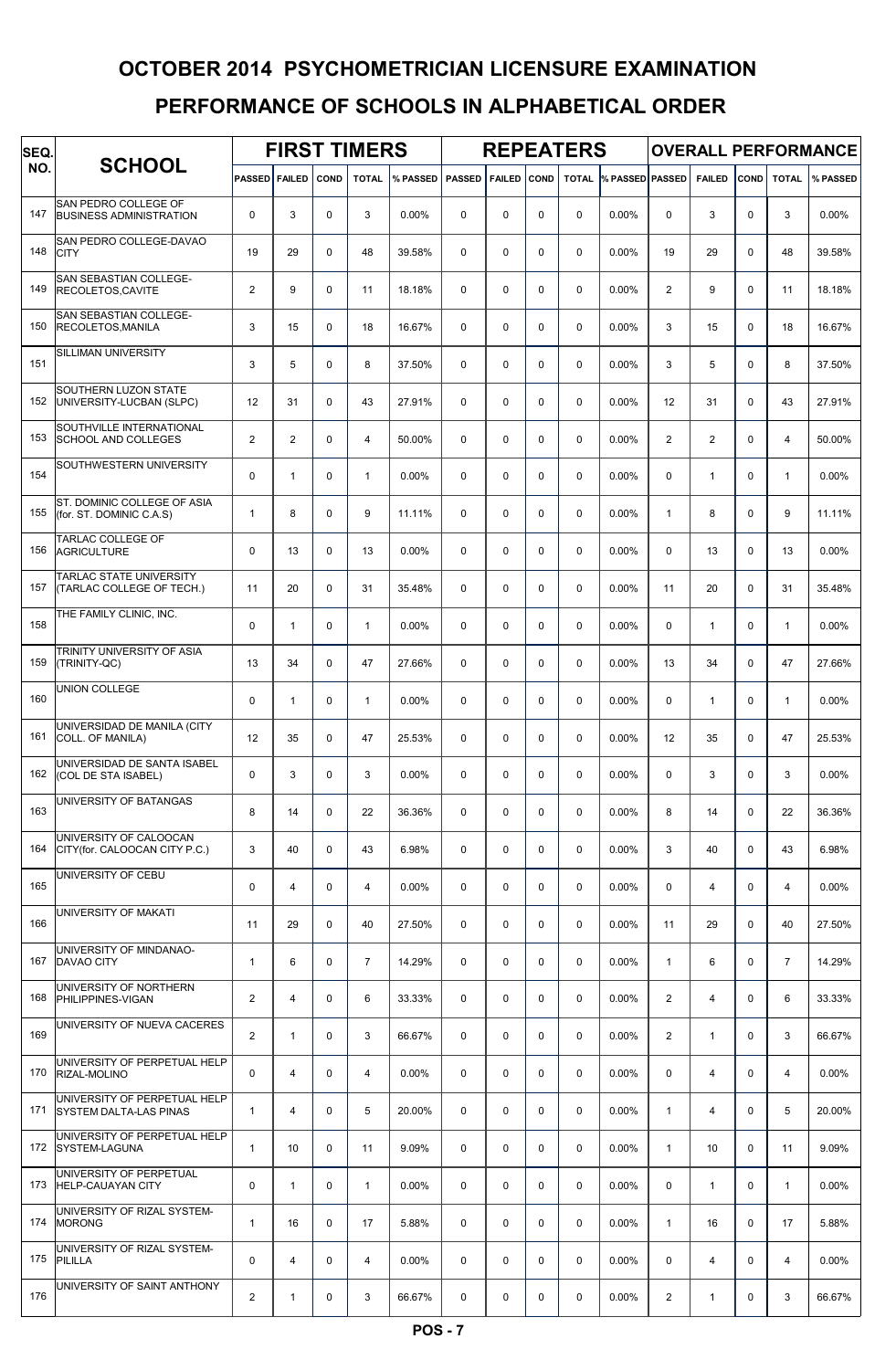| SEQ. |                                                               |                | <b>FIRST TIMERS</b><br>PASSED FAILED<br><b>COND</b> |             |                |          |               |             |             | <b>REPEATERS</b> |                              |                |                |             |                | <b>OVERALL PERFORMANCE</b> |
|------|---------------------------------------------------------------|----------------|-----------------------------------------------------|-------------|----------------|----------|---------------|-------------|-------------|------------------|------------------------------|----------------|----------------|-------------|----------------|----------------------------|
| NO.  | <b>SCHOOL</b>                                                 |                |                                                     |             | <b>TOTAL</b>   | % PASSED | <b>PASSED</b> | FAILED COND |             |                  | <b>TOTAL % PASSED PASSED</b> |                | <b>FAILED</b>  | COND        | <b>TOTAL</b>   | % PASSED                   |
| 147  | SAN PEDRO COLLEGE OF<br><b>BUSINESS ADMINISTRATION</b>        | 0              | 3                                                   | $\mathbf 0$ | 3              | 0.00%    | $\Omega$      | $\mathbf 0$ | $\mathbf 0$ | $\mathbf 0$      | 0.00%                        | 0              | 3              | $\Omega$    | 3              | 0.00%                      |
| 148  | SAN PEDRO COLLEGE-DAVAO<br><b>CITY</b>                        | 19             | 29                                                  | $\mathbf 0$ | 48             | 39.58%   | $\mathbf 0$   | $\mathbf 0$ | $\mathbf 0$ | 0                | 0.00%                        | 19             | 29             | $\Omega$    | 48             | 39.58%                     |
| 149  | SAN SEBASTIAN COLLEGE-<br><b>RECOLETOS.CAVITE</b>             | $\overline{2}$ | 9                                                   | $\mathbf 0$ | 11             | 18.18%   | $\mathbf 0$   | $\mathbf 0$ | $\mathbf 0$ | $\mathbf 0$      | $0.00\%$                     | $\overline{2}$ | 9              | $\Omega$    | 11             | 18.18%                     |
| 150  | SAN SEBASTIAN COLLEGE-<br>RECOLETOS, MANILA                   | 3              | 15                                                  | $\Omega$    | 18             | 16.67%   | $\Omega$      | $\mathbf 0$ | $\mathbf 0$ | $\mathbf 0$      | $0.00\%$                     | 3              | 15             | $\Omega$    | 18             | 16.67%                     |
| 151  | SILLIMAN UNIVERSITY                                           | 3              | 5                                                   | $\mathbf 0$ | 8              | 37.50%   | 0             | $\mathbf 0$ | $\mathbf 0$ | $\mathbf 0$      | 0.00%                        | 3              | 5              | 0           | 8              | 37.50%                     |
| 152  | SOUTHERN LUZON STATE<br>UNIVERSITY-LUCBAN (SLPC)              | 12             | 31                                                  | $\mathbf 0$ | 43             | 27.91%   | $\mathbf 0$   | $\mathbf 0$ | $\mathbf 0$ | 0                | 0.00%                        | 12             | 31             | $\Omega$    | 43             | 27.91%                     |
| 153  | SOUTHVILLE INTERNATIONAL<br><b>SCHOOL AND COLLEGES</b>        | $\overline{2}$ | $\overline{2}$                                      | $\mathbf 0$ | $\overline{4}$ | 50.00%   | 0             | $\mathbf 0$ | $\mathbf 0$ | $\mathbf 0$      | $0.00\%$                     | $\overline{2}$ | 2              | $\Omega$    | $\overline{4}$ | 50.00%                     |
| 154  | SOUTHWESTERN UNIVERSITY                                       | 0              | $\mathbf{1}$                                        | $\Omega$    | $\mathbf{1}$   | 0.00%    | $\Omega$      | $\mathbf 0$ | $\mathbf 0$ | 0                | 0.00%                        | 0              | $\mathbf{1}$   | $\Omega$    | $\mathbf{1}$   | 0.00%                      |
| 155  | ST. DOMINIC COLLEGE OF ASIA<br>(for. ST. DOMINIC C.A.S)       | $\mathbf{1}$   | 8                                                   | $\Omega$    | 9              | 11.11%   | $\Omega$      | $\mathbf 0$ | $\mathbf 0$ | $\Omega$         | 0.00%                        | $\mathbf{1}$   | 8              | $\Omega$    | 9              | 11.11%                     |
| 156  | TARLAC COLLEGE OF<br><b>AGRICULTURE</b>                       | $\mathbf 0$    | 13                                                  | $\mathbf 0$ | 13             | 0.00%    | $\mathbf 0$   | $\mathbf 0$ | $\mathbf 0$ | 0                | 0.00%                        | $\mathbf 0$    | 13             | $\Omega$    | 13             | 0.00%                      |
| 157  | TARLAC STATE UNIVERSITY<br>(TARLAC COLLEGE OF TECH.)          | 11             | 20                                                  | $\mathbf 0$ | 31             | 35.48%   | $\mathbf 0$   | $\mathbf 0$ | $\mathbf 0$ | $\mathbf 0$      | 0.00%                        | 11             | 20             | $\Omega$    | 31             | 35.48%                     |
| 158  | THE FAMILY CLINIC, INC.                                       | $\mathbf 0$    | $\mathbf{1}$                                        | $\mathbf 0$ | $\mathbf{1}$   | 0.00%    | $\Omega$      | $\mathbf 0$ | $\mathbf 0$ | $\mathbf 0$      | 0.00%                        | 0              | $\mathbf{1}$   | $\mathbf 0$ | $\mathbf{1}$   | 0.00%                      |
| 159  | TRINITY UNIVERSITY OF ASIA<br>(TRINITY-QC)                    | 13             | 34                                                  | $\Omega$    | 47             | 27.66%   | $\Omega$      | $\mathbf 0$ | $\mathbf 0$ | $\mathbf 0$      | 0.00%                        | 13             | 34             | $\mathbf 0$ | 47             | 27.66%                     |
| 160  | <b>UNION COLLEGE</b>                                          | $\mathbf 0$    | $\mathbf{1}$                                        | $\mathbf 0$ | $\mathbf{1}$   | 0.00%    | $\mathbf 0$   | $\mathbf 0$ | $\mathbf 0$ | $\mathbf 0$      | 0.00%                        | 0              | $\mathbf{1}$   | $\Omega$    | $\mathbf{1}$   | 0.00%                      |
| 161  | UNIVERSIDAD DE MANILA (CITY<br>COLL. OF MANILA)               | 12             | 35                                                  | $\Omega$    | 47             | 25.53%   | $\Omega$      | $\mathbf 0$ | $\mathbf 0$ | $\mathbf 0$      | $0.00\%$                     | 12             | 35             | $\Omega$    | 47             | 25.53%                     |
| 162  | UNIVERSIDAD DE SANTA ISABEL<br>(COL DE STA ISABEL)            | $\mathbf 0$    | 3                                                   | $\mathbf 0$ | 3              | 0.00%    | $\Omega$      | $\mathbf 0$ | $\mathbf 0$ | $\mathbf 0$      | $0.00\%$                     | $\mathbf 0$    | 3              | $\Omega$    | 3              | 0.00%                      |
| 163  | UNIVERSITY OF BATANGAS                                        | 8              | 14                                                  | $\mathbf 0$ | 22             | 36.36%   | 0             | $\mathbf 0$ | $\mathbf 0$ | $\mathbf 0$      | 0.00%                        | 8              | 14             | 0           | 22             | 36.36%                     |
| 164  | UNIVERSITY OF CALOOCAN<br>CITY(for. CALOOCAN CITY P.C.)       | 3              | 40                                                  | $\mathbf 0$ | 43             | 6.98%    | $\mathbf 0$   | 0           | $\mathbf 0$ | 0                | 0.00%                        | 3              | 40             | $\mathbf 0$ | 43             | 6.98%                      |
| 165  | UNIVERSITY OF CEBU                                            | 0              | $\overline{4}$                                      | $\mathbf 0$ | $\overline{4}$ | $0.00\%$ | $\mathbf 0$   | $\mathbf 0$ | $\mathbf 0$ | $\mathbf 0$      | 0.00%                        | 0              | $\overline{4}$ | 0           | 4              | 0.00%                      |
| 166  | UNIVERSITY OF MAKATI                                          | 11             | 29                                                  | $\mathbf 0$ | 40             | 27.50%   | $\Omega$      | $\mathbf 0$ | $\mathbf 0$ | $\mathbf 0$      | 0.00%                        | 11             | 29             | $\Omega$    | 40             | 27.50%                     |
| 167  | UNIVERSITY OF MINDANAO-<br>DAVAO CITY                         | $\mathbf{1}$   | 6                                                   | $\mathbf 0$ | $\overline{7}$ | 14.29%   | 0             | $\mathbf 0$ | $\mathbf 0$ | $\mathbf 0$      | 0.00%                        | $\mathbf{1}$   | 6              | $\mathbf 0$ | $\overline{7}$ | 14.29%                     |
| 168  | UNIVERSITY OF NORTHERN<br><b>PHILIPPINES-VIGAN</b>            | $\overline{2}$ | $\overline{4}$                                      | $\mathbf 0$ | 6              | 33.33%   | $\mathbf 0$   | $\mathbf 0$ | $\mathbf 0$ | $\mathbf 0$      | 0.00%                        | $\overline{2}$ | $\overline{4}$ | $\mathbf 0$ | 6              | 33.33%                     |
| 169  | UNIVERSITY OF NUEVA CACERES                                   | $\overline{2}$ | $\mathbf{1}$                                        | $\mathbf 0$ | 3              | 66.67%   | $\mathbf 0$   | $\mathbf 0$ | $\mathbf 0$ | $\mathbf 0$      | 0.00%                        | $\overline{2}$ | $\mathbf{1}$   | $\mathbf 0$ | 3              | 66.67%                     |
| 170  | UNIVERSITY OF PERPETUAL HELP<br>RIZAL-MOLINO                  | $\mathbf 0$    | $\overline{4}$                                      | $\mathbf 0$ | $\overline{4}$ | $0.00\%$ | $\mathbf 0$   | 0           | $\mathbf 0$ | $\mathbf 0$      | 0.00%                        | 0              | $\overline{4}$ | $\mathbf 0$ | $\overline{4}$ | 0.00%                      |
| 171  | UNIVERSITY OF PERPETUAL HELP<br><b>SYSTEM DALTA-LAS PINAS</b> | 1              | $\overline{4}$                                      | $\mathbf 0$ | 5              | 20.00%   | 0             | $\mathbf 0$ | $\mathbf 0$ | $\mathbf 0$      | 0.00%                        | $\mathbf{1}$   | $\overline{4}$ | $\mathbf 0$ | 5              | 20.00%                     |
| 172  | UNIVERSITY OF PERPETUAL HELP<br><b>SYSTEM-LAGUNA</b>          | 1              | 10                                                  | $\mathbf 0$ | 11             | 9.09%    | $\mathbf 0$   | 0           | $\mathbf 0$ | 0                | 0.00%                        | $\mathbf{1}$   | 10             | $\mathbf 0$ | 11             | 9.09%                      |
| 173  | UNIVERSITY OF PERPETUAL<br><b>HELP-CAUAYAN CITY</b>           | 0              | $\mathbf{1}$                                        | $\mathbf 0$ | $\mathbf{1}$   | $0.00\%$ | $\mathbf 0$   | $\mathbf 0$ | $\mathbf 0$ | 0                | 0.00%                        | 0              | $\mathbf{1}$   | $\mathbf 0$ | $\mathbf{1}$   | 0.00%                      |
| 174  | UNIVERSITY OF RIZAL SYSTEM-<br><b>MORONG</b>                  | $\mathbf{1}$   | 16                                                  | $\mathbf 0$ | 17             | 5.88%    | $\Omega$      | $\mathbf 0$ | $\mathbf 0$ | $\mathbf 0$      | 0.00%                        | $\mathbf{1}$   | 16             | $\Omega$    | 17             | 5.88%                      |
| 175  | UNIVERSITY OF RIZAL SYSTEM-<br>PILILLA                        | 0              | $\overline{4}$                                      | $\mathbf 0$ | $\overline{4}$ | $0.00\%$ | 0             | $\mathbf 0$ | $\mathbf 0$ | $\mathbf 0$      | 0.00%                        | 0              | $\overline{4}$ | $\mathbf 0$ | $\overline{4}$ | 0.00%                      |
| 176  | UNIVERSITY OF SAINT ANTHONY                                   | $\overline{c}$ | $\mathbf{1}$                                        | 0           | 3              | 66.67%   | 0             | 0           | 0           | 0                | 0.00%                        | 2              | $\mathbf{1}$   | $\mathbf 0$ | 3              | 66.67%                     |